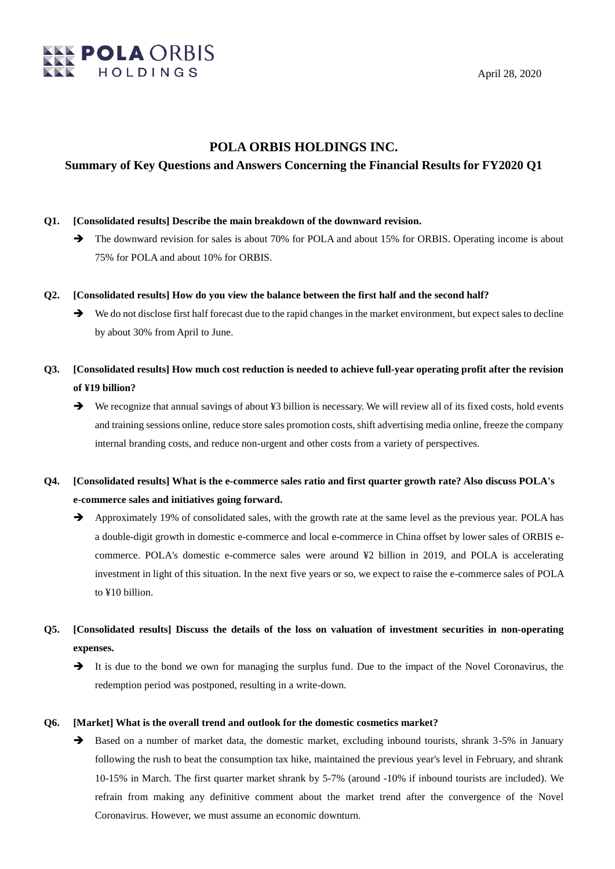

## **POLA ORBIS HOLDINGS INC.**

## **Summary of Key Questions and Answers Concerning the Financial Results for FY2020 Q1**

- **Q1. [Consolidated results] Describe the main breakdown of the downward revision.**
	- The downward revision for sales is about 70% for POLA and about 15% for ORBIS. Operating income is about 75% for POLA and about 10% for ORBIS.
- **Q2. [Consolidated results] How do you view the balance between the first half and the second half?**
	- We do not disclose first half forecast due to the rapid changes in the market environment, but expect sales to decline by about 30% from April to June.
- **Q3. [Consolidated results] How much cost reduction is needed to achieve full-year operating profit after the revision of ¥19 billion?**
	- ◆ We recognize that annual savings of about ¥3 billion is necessary. We will review all of its fixed costs, hold events and training sessions online, reduce store sales promotion costs, shift advertising media online, freeze the company internal branding costs, and reduce non-urgent and other costs from a variety of perspectives.
- **Q4. [Consolidated results] What is the e-commerce sales ratio and first quarter growth rate? Also discuss POLA's e-commerce sales and initiatives going forward.**
	- Approximately 19% of consolidated sales, with the growth rate at the same level as the previous year. POLA has a double-digit growth in domestic e-commerce and local e-commerce in China offset by lower sales of ORBIS ecommerce. POLA's domestic e-commerce sales were around ¥2 billion in 2019, and POLA is accelerating investment in light of this situation. In the next five years or so, we expect to raise the e-commerce sales of POLA to ¥10 billion.
- **Q5. [Consolidated results] Discuss the details of the loss on valuation of investment securities in non-operating expenses.**
	- $\rightarrow$  It is due to the bond we own for managing the surplus fund. Due to the impact of the Novel Coronavirus, the redemption period was postponed, resulting in a write-down.

### **Q6. [Market] What is the overall trend and outlook for the domestic cosmetics market?**

 $\rightarrow$  Based on a number of market data, the domestic market, excluding inbound tourists, shrank 3-5% in January following the rush to beat the consumption tax hike, maintained the previous year's level in February, and shrank 10-15% in March. The first quarter market shrank by 5-7% (around -10% if inbound tourists are included). We refrain from making any definitive comment about the market trend after the convergence of the Novel Coronavirus. However, we must assume an economic downturn.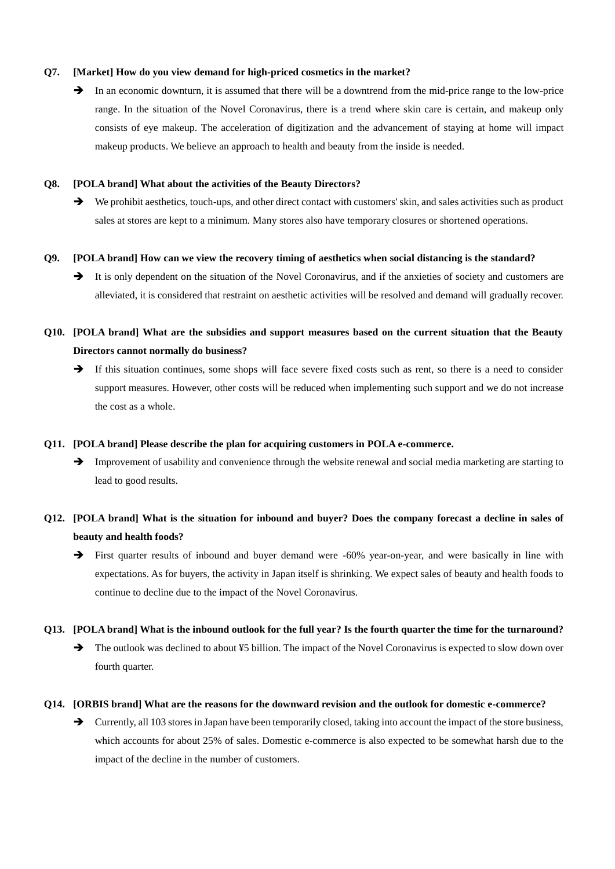#### **Q7. [Market] How do you view demand for high-priced cosmetics in the market?**

In an economic downturn, it is assumed that there will be a downtrend from the mid-price range to the low-price range. In the situation of the Novel Coronavirus, there is a trend where skin care is certain, and makeup only consists of eye makeup. The acceleration of digitization and the advancement of staying at home will impact makeup products. We believe an approach to health and beauty from the inside is needed.

#### **Q8. [POLA brand] What about the activities of the Beauty Directors?**

We prohibit aesthetics, touch-ups, and other direct contact with customers' skin, and sales activities such as product sales at stores are kept to a minimum. Many stores also have temporary closures or shortened operations.

### **Q9. [POLA brand] How can we view the recovery timing of aesthetics when social distancing is the standard?**

It is only dependent on the situation of the Novel Coronavirus, and if the anxieties of society and customers are alleviated, it is considered that restraint on aesthetic activities will be resolved and demand will gradually recover.

# **Q10. [POLA brand] What are the subsidies and support measures based on the current situation that the Beauty Directors cannot normally do business?**

If this situation continues, some shops will face severe fixed costs such as rent, so there is a need to consider support measures. However, other costs will be reduced when implementing such support and we do not increase the cost as a whole.

#### **Q11. [POLA brand] Please describe the plan for acquiring customers in POLA e-commerce.**

Improvement of usability and convenience through the website renewal and social media marketing are starting to lead to good results.

## **Q12. [POLA brand] What is the situation for inbound and buyer? Does the company forecast a decline in sales of beauty and health foods?**

First quarter results of inbound and buyer demand were -60% year-on-year, and were basically in line with expectations. As for buyers, the activity in Japan itself is shrinking. We expect sales of beauty and health foods to continue to decline due to the impact of the Novel Coronavirus.

#### **Q13. [POLA brand] What is the inbound outlook for the full year? Is the fourth quarter the time for the turnaround?**

 $\rightarrow$  The outlook was declined to about ¥5 billion. The impact of the Novel Coronavirus is expected to slow down over fourth quarter.

#### **Q14. [ORBIS brand] What are the reasons for the downward revision and the outlook for domestic e-commerce?**

 $\rightarrow$  Currently, all 103 stores in Japan have been temporarily closed, taking into account the impact of the store business, which accounts for about 25% of sales. Domestic e-commerce is also expected to be somewhat harsh due to the impact of the decline in the number of customers.